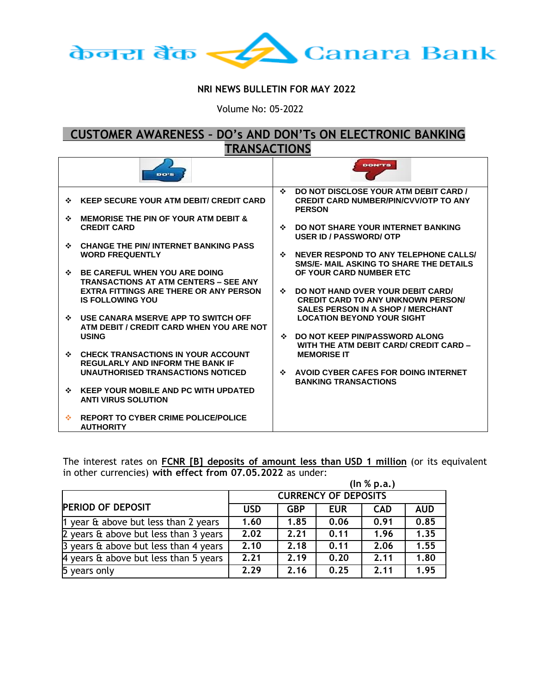

## **NRI NEWS BULLETIN FOR MAY 2022**

Volume No: 05-2022

## **CUSTOMER AWARENESS – DO's AND DON'Ts ON ELECTRONIC BANKING TRANSACTIONS**

|   | <b>DO'S</b>                                                                                                                           |              | <b>DON'TS</b>                                                                                          |
|---|---------------------------------------------------------------------------------------------------------------------------------------|--------------|--------------------------------------------------------------------------------------------------------|
| ❖ | <b>KEEP SECURE YOUR ATM DEBIT/ CREDIT CARD</b>                                                                                        | $\bullet$    | DO NOT DISCLOSE YOUR ATM DEBIT CARD /<br><b>CREDIT CARD NUMBER/PIN/CVV/OTP TO ANY</b><br><b>PERSON</b> |
| ❖ | <b>MEMORISE THE PIN OF YOUR ATM DEBIT &amp;</b><br><b>CREDIT CARD</b>                                                                 | ❖            | DO NOT SHARE YOUR INTERNET BANKING<br><b>USER ID / PASSWORD/ OTP</b>                                   |
|   | <b>CHANGE THE PIN/INTERNET BANKING PASS</b><br><b>WORD FREQUENTLY</b>                                                                 | $\bullet$    | NEVER RESPOND TO ANY TELEPHONE CALLS/<br>SMS/E- MAIL ASKING TO SHARE THE DETAILS                       |
| ❖ | <b>BE CAREFUL WHEN YOU ARE DOING</b><br><b>TRANSACTIONS AT ATM CENTERS – SEE ANY</b><br><b>EXTRA FITTINGS ARE THERE OR ANY PERSON</b> | ≁            | OF YOUR CARD NUMBER ETC<br>DO NOT HAND OVER YOUR DEBIT CARD/                                           |
|   | <b>IS FOLLOWING YOU</b>                                                                                                               |              | <b>CREDIT CARD TO ANY UNKNOWN PERSON/</b><br><b>SALES PERSON IN A SHOP / MERCHANT</b>                  |
| ❖ | USE CANARA MSERVE APP TO SWITCH OFF<br>ATM DEBIT / CREDIT CARD WHEN YOU ARE NOT<br><b>USING</b>                                       | ❖            | <b>LOCATION BEYOND YOUR SIGHT</b><br>DO NOT KEEP PIN/PASSWORD ALONG                                    |
|   | <b>CHECK TRANSACTIONS IN YOUR ACCOUNT</b>                                                                                             |              | WITH THE ATM DEBIT CARD/ CREDIT CARD -<br><b>MEMORISE IT</b>                                           |
|   | <b>REGULARLY AND INFORM THE BANK IF</b><br>UNAUTHORISED TRANSACTIONS NOTICED                                                          | $\mathbf{A}$ | AVOID CYBER CAFES FOR DOING INTERNET<br><b>BANKING TRANSACTIONS</b>                                    |
|   | <b>KEEP YOUR MOBILE AND PC WITH UPDATED</b><br><b>ANTI VIRUS SOLUTION</b>                                                             |              |                                                                                                        |
|   | <b>REPORT TO CYBER CRIME POLICE/POLICE</b><br><b>AUTHORITY</b>                                                                        |              |                                                                                                        |

The interest rates on **FCNR [B] deposits of amount less than USD 1 million** (or its equivalent in other currencies) **with effect from 07.05.2022** as under:

|                                              | (ln % p.a.)                 |            |            |            |            |
|----------------------------------------------|-----------------------------|------------|------------|------------|------------|
|                                              | <b>CURRENCY OF DEPOSITS</b> |            |            |            |            |
| <b>PERIOD OF DEPOSIT</b>                     | <b>USD</b>                  | <b>GBP</b> | <b>EUR</b> | <b>CAD</b> | <b>AUD</b> |
| 1 year $\theta$ above but less than 2 years  | 1.60                        | 1.85       | 0.06       | 0.91       | 0.85       |
| 2 years & above but less than 3 years        | 2.02                        | 2.21       | 0.11       | 1.96       | 1.35       |
| 3 years $\theta$ above but less than 4 years | 2.10                        | 2.18       | 0.11       | 2.06       | 1.55       |
| 4 years $\theta$ above but less than 5 years | 2.21                        | 2.19       | 0.20       | 2.11       | 1.80       |
| 5 years only                                 | 2.29                        | 2.16       | 0.25       | 2.11       | 1.95       |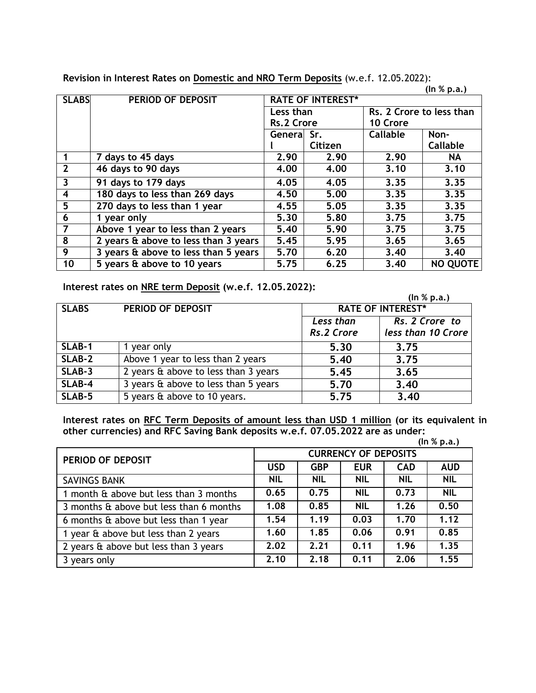**Revision in Interest Rates on Domestic and NRO Term Deposits** (w.e.f. 12.05.2022):

**(In % p.a.)**

| <b>SLABS</b>         | <b>PERIOD OF DEPOSIT</b>             | <b>RATE OF INTEREST*</b> |         |                          |          |  |
|----------------------|--------------------------------------|--------------------------|---------|--------------------------|----------|--|
|                      |                                      | Less than                |         | Rs. 2 Crore to less than |          |  |
|                      |                                      | <b>Rs.2 Crore</b>        |         | 10 Crore                 |          |  |
|                      |                                      | General Sr.              |         | Callable                 | Non-     |  |
|                      |                                      |                          | Citizen |                          | Callable |  |
| $\blacktriangleleft$ | 7 days to 45 days                    | 2.90                     | 2.90    | 2.90                     | NA       |  |
| $\overline{2}$       | 46 days to 90 days                   | 4.00                     | 4.00    | 3.10                     | 3.10     |  |
| $\overline{3}$       | 91 days to 179 days                  | 4.05                     | 4.05    | 3.35                     | 3.35     |  |
| $\overline{4}$       | 180 days to less than 269 days       | 4.50                     | 5.00    | 3.35                     | 3.35     |  |
| 5                    | 270 days to less than 1 year         | 4.55                     | 5.05    | 3.35                     | 3.35     |  |
| 6                    | 1 year only                          | 5.30                     | 5.80    | 3.75                     | 3.75     |  |
| $\overline{7}$       | Above 1 year to less than 2 years    | 5.40                     | 5.90    | 3.75                     | 3.75     |  |
| 8                    | 2 years & above to less than 3 years | 5.45                     | 5.95    | 3.65                     | 3.65     |  |
| 9                    | 3 years & above to less than 5 years | 5.70                     | 6.20    | 3,40                     | 3,40     |  |
| 10                   | 5 years & above to 10 years          | 5.75                     | 6.25    | 3.40                     | NO QUOTE |  |

## **Interest rates on NRE term Deposit (w.e.f. 12.05.2022):**

 **(In % p.a.)**

| <b>SLABS</b> | PERIOD OF DEPOSIT                         | <b>RATE OF INTEREST*</b>    |                    |  |
|--------------|-------------------------------------------|-----------------------------|--------------------|--|
|              |                                           | Rs. 2 Crore to<br>Less than |                    |  |
|              |                                           | Rs.2 Crore                  | less than 10 Crore |  |
| SLAB-1       | 1 year only                               | 5.30                        | 3.75               |  |
| SLAB-2       | Above 1 year to less than 2 years         | 5.40                        | 3.75               |  |
| SLAB-3       | 2 years & above to less than 3 years      | 5.45                        | 3.65               |  |
| SLAB-4       | 3 years & above to less than 5 years      | 5.70                        | 3.40               |  |
| SLAB-5       | $\overline{5}$ years & above to 10 years. | 5.75                        | 3.40               |  |

**Interest rates on RFC Term Deposits of amount less than USD 1 million (or its equivalent in other currencies) and RFC Saving Bank deposits w.e.f. 07.05.2022 are as under:**

|                                         |                             |            |            |            | (ln % p.a.) |  |
|-----------------------------------------|-----------------------------|------------|------------|------------|-------------|--|
| PERIOD OF DEPOSIT                       | <b>CURRENCY OF DEPOSITS</b> |            |            |            |             |  |
|                                         | <b>USD</b>                  | <b>GBP</b> | <b>EUR</b> | <b>CAD</b> | <b>AUD</b>  |  |
| <b>SAVINGS BANK</b>                     | <b>NIL</b>                  | <b>NIL</b> | <b>NIL</b> | <b>NIL</b> | <b>NIL</b>  |  |
| 1 month & above but less than 3 months  | 0.65                        | 0.75       | <b>NIL</b> | 0.73       | <b>NIL</b>  |  |
| 3 months & above but less than 6 months | 1.08                        | 0.85       | <b>NIL</b> | 1.26       | 0.50        |  |
| 6 months & above but less than 1 year   | 1.54                        | 1.19       | 0.03       | 1.70       | 1.12        |  |
| 1 year & above but less than 2 years    | 1.60                        | 1.85       | 0.06       | 0.91       | 0.85        |  |
| 2 years & above but less than 3 years   | 2.02                        | 2.21       | 0.11       | 1.96       | 1.35        |  |
| 3 years only                            | 2.10                        | 2.18       | 0.11       | 2.06       | 1.55        |  |